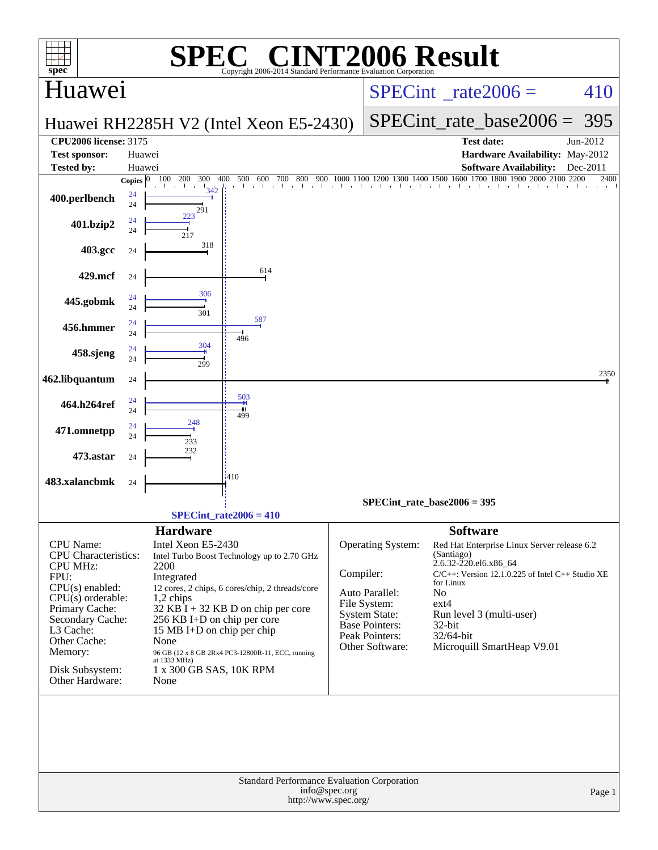| $spec^*$                                                                                                                                                                                                                            | $\blacksquare$<br>SPE                                                                                                                                                                                                                                                                                                                                                                                  | Copyright 2006-2014 Standard Performance Evaluation Corporation                      | <b>NT2006 Result</b>                                                                                                                                                                                                                                                                                                                                                                                                                |
|-------------------------------------------------------------------------------------------------------------------------------------------------------------------------------------------------------------------------------------|--------------------------------------------------------------------------------------------------------------------------------------------------------------------------------------------------------------------------------------------------------------------------------------------------------------------------------------------------------------------------------------------------------|--------------------------------------------------------------------------------------|-------------------------------------------------------------------------------------------------------------------------------------------------------------------------------------------------------------------------------------------------------------------------------------------------------------------------------------------------------------------------------------------------------------------------------------|
| Huawei                                                                                                                                                                                                                              |                                                                                                                                                                                                                                                                                                                                                                                                        | $SPECint^{\circ}$ rate 2006 =<br>410                                                 |                                                                                                                                                                                                                                                                                                                                                                                                                                     |
|                                                                                                                                                                                                                                     | Huawei RH2285H V2 (Intel Xeon E5-2430)                                                                                                                                                                                                                                                                                                                                                                 | $SPECint_rate\_base2006 =$<br>395                                                    |                                                                                                                                                                                                                                                                                                                                                                                                                                     |
| <b>CPU2006 license: 3175</b>                                                                                                                                                                                                        |                                                                                                                                                                                                                                                                                                                                                                                                        |                                                                                      | <b>Test date:</b><br>Jun-2012                                                                                                                                                                                                                                                                                                                                                                                                       |
| <b>Test sponsor:</b>                                                                                                                                                                                                                | Huawei                                                                                                                                                                                                                                                                                                                                                                                                 |                                                                                      | Hardware Availability: May-2012                                                                                                                                                                                                                                                                                                                                                                                                     |
| <b>Tested by:</b>                                                                                                                                                                                                                   | Huawei<br>100<br>200<br>300<br>400<br>500<br>600<br>700<br>Copies $ 0 $                                                                                                                                                                                                                                                                                                                                |                                                                                      | <b>Software Availability:</b><br>Dec-2011<br>2400                                                                                                                                                                                                                                                                                                                                                                                   |
| 400.perlbench                                                                                                                                                                                                                       | The China<br>342<br>24<br>24<br>291                                                                                                                                                                                                                                                                                                                                                                    |                                                                                      |                                                                                                                                                                                                                                                                                                                                                                                                                                     |
| 401.bzip2                                                                                                                                                                                                                           | 223<br>24<br>24<br>217                                                                                                                                                                                                                                                                                                                                                                                 |                                                                                      |                                                                                                                                                                                                                                                                                                                                                                                                                                     |
| 403.gcc                                                                                                                                                                                                                             | 318<br>24                                                                                                                                                                                                                                                                                                                                                                                              |                                                                                      |                                                                                                                                                                                                                                                                                                                                                                                                                                     |
| 429.mcf                                                                                                                                                                                                                             | 614<br>24                                                                                                                                                                                                                                                                                                                                                                                              |                                                                                      |                                                                                                                                                                                                                                                                                                                                                                                                                                     |
| 445.gobmk                                                                                                                                                                                                                           | 306<br>24<br>24<br>301                                                                                                                                                                                                                                                                                                                                                                                 |                                                                                      |                                                                                                                                                                                                                                                                                                                                                                                                                                     |
| 456.hmmer                                                                                                                                                                                                                           | 587<br>24<br>24<br>496                                                                                                                                                                                                                                                                                                                                                                                 |                                                                                      |                                                                                                                                                                                                                                                                                                                                                                                                                                     |
| 458.sjeng                                                                                                                                                                                                                           | 304<br>24<br>24<br>299                                                                                                                                                                                                                                                                                                                                                                                 |                                                                                      |                                                                                                                                                                                                                                                                                                                                                                                                                                     |
| 462.libquantum                                                                                                                                                                                                                      | 24                                                                                                                                                                                                                                                                                                                                                                                                     |                                                                                      | 2350                                                                                                                                                                                                                                                                                                                                                                                                                                |
| 464.h264ref                                                                                                                                                                                                                         | 503<br>24<br>24<br>499                                                                                                                                                                                                                                                                                                                                                                                 |                                                                                      |                                                                                                                                                                                                                                                                                                                                                                                                                                     |
| 471.omnetpp                                                                                                                                                                                                                         | 248<br>24<br>24<br>233                                                                                                                                                                                                                                                                                                                                                                                 |                                                                                      |                                                                                                                                                                                                                                                                                                                                                                                                                                     |
| 473.astar                                                                                                                                                                                                                           | 232<br>24                                                                                                                                                                                                                                                                                                                                                                                              |                                                                                      |                                                                                                                                                                                                                                                                                                                                                                                                                                     |
| 483.xalancbmk                                                                                                                                                                                                                       | :410<br>24                                                                                                                                                                                                                                                                                                                                                                                             |                                                                                      |                                                                                                                                                                                                                                                                                                                                                                                                                                     |
|                                                                                                                                                                                                                                     | $SPECint_rate2006 = 410$                                                                                                                                                                                                                                                                                                                                                                               |                                                                                      | $SPECint_rate_base2006 = 395$                                                                                                                                                                                                                                                                                                                                                                                                       |
| CPU Name:<br><b>CPU</b> Characteristics:<br><b>CPU MHz:</b><br>FPU:<br>$CPU(s)$ enabled:<br>$CPU(s)$ orderable:<br>Primary Cache:<br>Secondary Cache:<br>L3 Cache:<br>Other Cache:<br>Memory:<br>Disk Subsystem:<br>Other Hardware: | <b>Hardware</b><br>Intel Xeon E5-2430<br>Intel Turbo Boost Technology up to 2.70 GHz<br>2200<br>Integrated<br>12 cores, 2 chips, 6 cores/chip, 2 threads/core<br>1,2 chips<br>$32$ KB I + 32 KB D on chip per core<br>256 KB I+D on chip per core<br>15 MB I+D on chip per chip<br>None<br>$96$ GB $(12$ x $8$ GB $2Rx4$ PC3-12800R-11, ECC, running at $1333$ MHz)<br>1 x 300 GB SAS, 10K RPM<br>None | Compiler:                                                                            | <b>Software</b><br>Operating System:<br>Red Hat Enterprise Linux Server release 6.2<br>(Santiago)<br>2.6.32-220.el6.x86_64<br>$C/C++$ : Version 12.1.0.225 of Intel $C++$ Studio XE<br>for Linux<br>Auto Parallel:<br>N <sub>o</sub><br>File System:<br>$ext{4}$<br>System State:<br>Run level 3 (multi-user)<br><b>Base Pointers:</b><br>$32$ -bit<br>Peak Pointers:<br>32/64-bit<br>Other Software:<br>Microquill SmartHeap V9.01 |
|                                                                                                                                                                                                                                     |                                                                                                                                                                                                                                                                                                                                                                                                        | Standard Performance Evaluation Corporation<br>info@spec.org<br>http://www.spec.org/ | Page 1                                                                                                                                                                                                                                                                                                                                                                                                                              |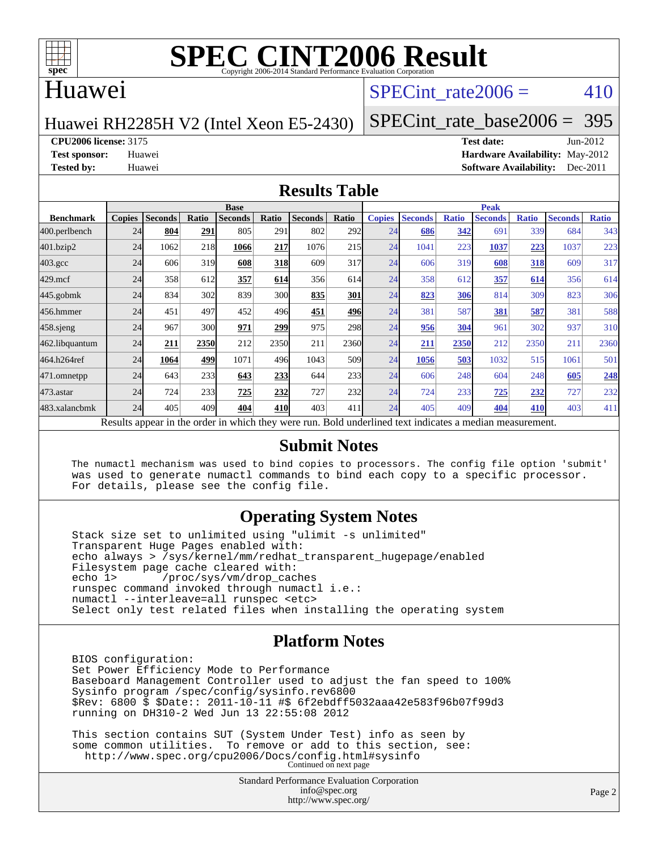

#### Huawei

### SPECint rate $2006 = 410$

#### Huawei RH2285H V2 (Intel Xeon E5-2430)

[SPECint\\_rate\\_base2006 =](http://www.spec.org/auto/cpu2006/Docs/result-fields.html#SPECintratebase2006) 395

**[CPU2006 license:](http://www.spec.org/auto/cpu2006/Docs/result-fields.html#CPU2006license)** 3175 **[Test date:](http://www.spec.org/auto/cpu2006/Docs/result-fields.html#Testdate)** Jun-2012

**[Test sponsor:](http://www.spec.org/auto/cpu2006/Docs/result-fields.html#Testsponsor)** Huawei **[Hardware Availability:](http://www.spec.org/auto/cpu2006/Docs/result-fields.html#HardwareAvailability)** May-2012 **[Tested by:](http://www.spec.org/auto/cpu2006/Docs/result-fields.html#Testedby)** Huawei **[Software Availability:](http://www.spec.org/auto/cpu2006/Docs/result-fields.html#SoftwareAvailability)** Dec-2011

#### **[Results Table](http://www.spec.org/auto/cpu2006/Docs/result-fields.html#ResultsTable)**

|                                                                                                          | <b>Base</b>   |                |              |                |            |                |                  | <b>Peak</b>   |                |              |                |              |                |              |  |
|----------------------------------------------------------------------------------------------------------|---------------|----------------|--------------|----------------|------------|----------------|------------------|---------------|----------------|--------------|----------------|--------------|----------------|--------------|--|
| <b>Benchmark</b>                                                                                         | <b>Copies</b> | <b>Seconds</b> | <b>Ratio</b> | <b>Seconds</b> | Ratio      | <b>Seconds</b> | Ratio            | <b>Copies</b> | <b>Seconds</b> | <b>Ratio</b> | <b>Seconds</b> | <b>Ratio</b> | <b>Seconds</b> | <b>Ratio</b> |  |
| 400.perlbench                                                                                            | 24            | 804            | 291          | 805            | 291        | 802            | 292l             | 24            | 686            | 342          | 691            | 339          | 684            | 343          |  |
| 401.bzip2                                                                                                | 24            | 1062           | 218          | 1066           | 217        | 1076           | 215              | 24            | 1041           | 223          | 1037           | 223          | 1037           | 223          |  |
| $403.\mathrm{gcc}$                                                                                       | 24            | 606            | 319          | 608            | <b>318</b> | 609            | 317              | 24            | 606            | 319          | 608            | <b>318</b>   | 609            | 317          |  |
| $429$ .mcf                                                                                               | 24            | 358            | 612          | 357            | 614        | 356            | 614              | 24            | 358            | 612          | 357            | 614          | 356            | 614          |  |
| $445$ .gobmk                                                                                             | 24            | 834            | 302          | 839            | <b>300</b> | 835            | 301              | 24            | 823            | 306          | 814            | 309          | 823            | 306          |  |
| 456.hmmer                                                                                                | 24            | 451            | 497          | 452            | 496        | 451            | 496              | 24            | 381            | 587          | 381            | 587          | 381            | 588          |  |
| $458$ .sjeng                                                                                             | 24            | 967            | 300          | 971            | 299        | 975            | 298              | 24            | 956            | 304          | 961            | 302          | 937            | 310          |  |
| 462.libquantum                                                                                           | 24            | 211            | 2350         | 212            | 2350       | 211            | 2360             | 24            | 211            | 2350         | 212            | 2350         | 211            | 2360         |  |
| 464.h264ref                                                                                              | 24            | 1064           | 499          | 1071           | 496        | 1043           | 509 <sub>l</sub> | 24            | 1056           | 503          | 1032           | 515          | 1061           | 501          |  |
| 471.omnetpp                                                                                              | 24            | 643            | 233          | 643            | 233        | 644            | 233              | 24            | 606            | 248          | 604            | 248          | 605            | 248          |  |
| 473.astar                                                                                                | 24            | 724            | 233          | 725            | 232        | 727            | <b>232</b>       | 24            | 724            | 233          | 725            | 232          | 727            | 232          |  |
| 483.xalancbmk                                                                                            | 24            | 405            | 409          | 404            | 410        | 403            | 411              | 24            | 405            | 409          | 404            | 410          | 403            | 411          |  |
| Results appear in the order in which they were run. Bold underlined text indicates a median measurement. |               |                |              |                |            |                |                  |               |                |              |                |              |                |              |  |

#### **[Submit Notes](http://www.spec.org/auto/cpu2006/Docs/result-fields.html#SubmitNotes)**

 The numactl mechanism was used to bind copies to processors. The config file option 'submit' was used to generate numactl commands to bind each copy to a specific processor. For details, please see the config file.

#### **[Operating System Notes](http://www.spec.org/auto/cpu2006/Docs/result-fields.html#OperatingSystemNotes)**

 Stack size set to unlimited using "ulimit -s unlimited" Transparent Huge Pages enabled with: echo always > /sys/kernel/mm/redhat\_transparent\_hugepage/enabled Filesystem page cache cleared with:<br>echo 1> /proc/sys/vm/drop cac /proc/sys/vm/drop\_caches runspec command invoked through numactl i.e.: numactl --interleave=all runspec <etc> Select only test related files when installing the operating system

#### **[Platform Notes](http://www.spec.org/auto/cpu2006/Docs/result-fields.html#PlatformNotes)**

 BIOS configuration: Set Power Efficiency Mode to Performance Baseboard Management Controller used to adjust the fan speed to 100% Sysinfo program /spec/config/sysinfo.rev6800 \$Rev: 6800 \$ \$Date:: 2011-10-11 #\$ 6f2ebdff5032aaa42e583f96b07f99d3 running on DH310-2 Wed Jun 13 22:55:08 2012

 This section contains SUT (System Under Test) info as seen by some common utilities. To remove or add to this section, see: <http://www.spec.org/cpu2006/Docs/config.html#sysinfo> Continued on next page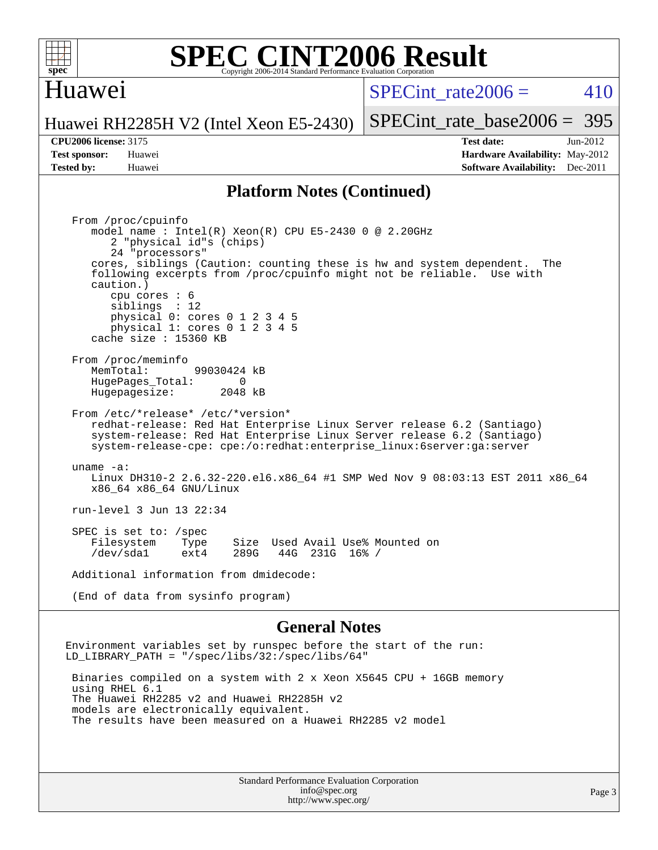

#### Huawei

 $SPECint rate2006 = 410$ 

Huawei RH2285H V2 (Intel Xeon E5-2430)

[SPECint\\_rate\\_base2006 =](http://www.spec.org/auto/cpu2006/Docs/result-fields.html#SPECintratebase2006) 395

**[CPU2006 license:](http://www.spec.org/auto/cpu2006/Docs/result-fields.html#CPU2006license)** 3175 **[Test date:](http://www.spec.org/auto/cpu2006/Docs/result-fields.html#Testdate)** Jun-2012 **[Test sponsor:](http://www.spec.org/auto/cpu2006/Docs/result-fields.html#Testsponsor)** Huawei **[Hardware Availability:](http://www.spec.org/auto/cpu2006/Docs/result-fields.html#HardwareAvailability)** May-2012 **[Tested by:](http://www.spec.org/auto/cpu2006/Docs/result-fields.html#Testedby)** Huawei **[Software Availability:](http://www.spec.org/auto/cpu2006/Docs/result-fields.html#SoftwareAvailability)** Dec-2011

#### **[Platform Notes \(Continued\)](http://www.spec.org/auto/cpu2006/Docs/result-fields.html#PlatformNotes)**

 From /proc/cpuinfo model name : Intel(R) Xeon(R) CPU E5-2430 0 @ 2.20GHz 2 "physical id"s (chips) 24 "processors" cores, siblings (Caution: counting these is hw and system dependent. The following excerpts from /proc/cpuinfo might not be reliable. Use with caution.) cpu cores : 6 siblings : 12 physical 0: cores 0 1 2 3 4 5 physical 1: cores 0 1 2 3 4 5 cache size : 15360 KB From /proc/meminfo MemTotal: 99030424 kB<br>HugePages Total: 0 HugePages\_Total: 0 Hugepagesize: 2048 kB From /etc/\*release\* /etc/\*version\* redhat-release: Red Hat Enterprise Linux Server release 6.2 (Santiago) system-release: Red Hat Enterprise Linux Server release 6.2 (Santiago) system-release-cpe: cpe:/o:redhat:enterprise\_linux:6server:ga:server uname -a: Linux DH310-2 2.6.32-220.el6.x86\_64 #1 SMP Wed Nov 9 08:03:13 EST 2011 x86\_64 x86\_64 x86\_64 GNU/Linux run-level 3 Jun 13 22:34 SPEC is set to: /spec Filesystem Type Size Used Avail Use% Mounted on<br>
/dev/sdal ext4 289G 44G 231G 16% / /dev/sda1 ext4 289G 44G 231G 16% / Additional information from dmidecode: (End of data from sysinfo program)

#### **[General Notes](http://www.spec.org/auto/cpu2006/Docs/result-fields.html#GeneralNotes)**

Environment variables set by runspec before the start of the run: LD\_LIBRARY\_PATH = "/spec/libs/32:/spec/libs/64"

 Binaries compiled on a system with 2 x Xeon X5645 CPU + 16GB memory using RHEL 6.1 The Huawei RH2285 v2 and Huawei RH2285H v2 models are electronically equivalent. The results have been measured on a Huawei RH2285 v2 model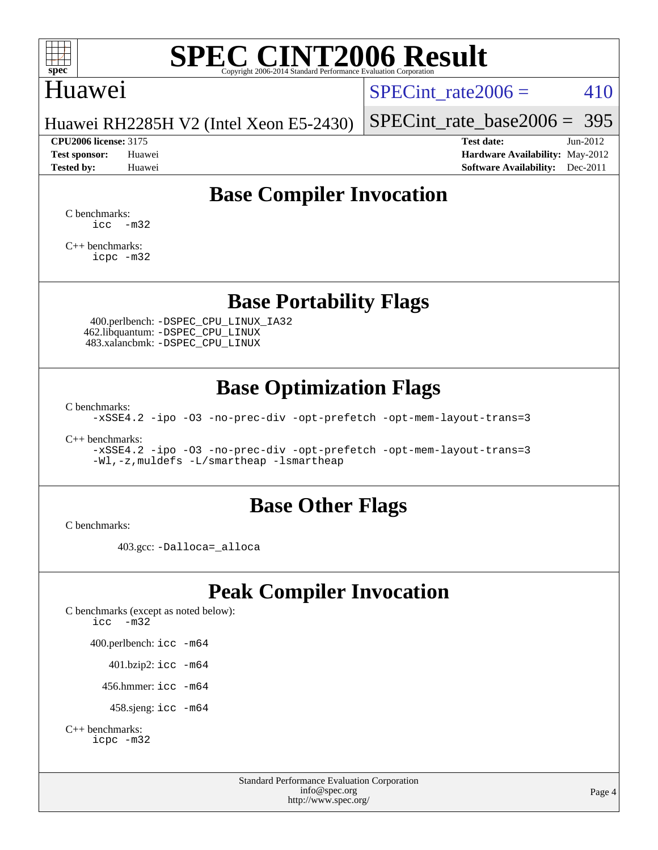

### Huawei

SPECint rate $2006 = 410$ 

Huawei RH2285H V2 (Intel Xeon E5-2430)

[SPECint\\_rate\\_base2006 =](http://www.spec.org/auto/cpu2006/Docs/result-fields.html#SPECintratebase2006) 395 **[CPU2006 license:](http://www.spec.org/auto/cpu2006/Docs/result-fields.html#CPU2006license)** 3175 **[Test date:](http://www.spec.org/auto/cpu2006/Docs/result-fields.html#Testdate)** Jun-2012

**[Test sponsor:](http://www.spec.org/auto/cpu2006/Docs/result-fields.html#Testsponsor)** Huawei **[Hardware Availability:](http://www.spec.org/auto/cpu2006/Docs/result-fields.html#HardwareAvailability)** May-2012 **[Tested by:](http://www.spec.org/auto/cpu2006/Docs/result-fields.html#Testedby)** Huawei **[Software Availability:](http://www.spec.org/auto/cpu2006/Docs/result-fields.html#SoftwareAvailability)** Dec-2011

## **[Base Compiler Invocation](http://www.spec.org/auto/cpu2006/Docs/result-fields.html#BaseCompilerInvocation)**

[C benchmarks](http://www.spec.org/auto/cpu2006/Docs/result-fields.html#Cbenchmarks):  $\text{icc}$   $-\text{m32}$ 

[C++ benchmarks:](http://www.spec.org/auto/cpu2006/Docs/result-fields.html#CXXbenchmarks) [icpc -m32](http://www.spec.org/cpu2006/results/res2014q3/cpu2006-20140626-30025.flags.html#user_CXXbase_intel_icpc_4e5a5ef1a53fd332b3c49e69c3330699)

**[Base Portability Flags](http://www.spec.org/auto/cpu2006/Docs/result-fields.html#BasePortabilityFlags)**

 400.perlbench: [-DSPEC\\_CPU\\_LINUX\\_IA32](http://www.spec.org/cpu2006/results/res2014q3/cpu2006-20140626-30025.flags.html#b400.perlbench_baseCPORTABILITY_DSPEC_CPU_LINUX_IA32) 462.libquantum: [-DSPEC\\_CPU\\_LINUX](http://www.spec.org/cpu2006/results/res2014q3/cpu2006-20140626-30025.flags.html#b462.libquantum_baseCPORTABILITY_DSPEC_CPU_LINUX) 483.xalancbmk: [-DSPEC\\_CPU\\_LINUX](http://www.spec.org/cpu2006/results/res2014q3/cpu2006-20140626-30025.flags.html#b483.xalancbmk_baseCXXPORTABILITY_DSPEC_CPU_LINUX)

## **[Base Optimization Flags](http://www.spec.org/auto/cpu2006/Docs/result-fields.html#BaseOptimizationFlags)**

[C benchmarks](http://www.spec.org/auto/cpu2006/Docs/result-fields.html#Cbenchmarks):

[-xSSE4.2](http://www.spec.org/cpu2006/results/res2014q3/cpu2006-20140626-30025.flags.html#user_CCbase_f-xSSE42_f91528193cf0b216347adb8b939d4107) [-ipo](http://www.spec.org/cpu2006/results/res2014q3/cpu2006-20140626-30025.flags.html#user_CCbase_f-ipo) [-O3](http://www.spec.org/cpu2006/results/res2014q3/cpu2006-20140626-30025.flags.html#user_CCbase_f-O3) [-no-prec-div](http://www.spec.org/cpu2006/results/res2014q3/cpu2006-20140626-30025.flags.html#user_CCbase_f-no-prec-div) [-opt-prefetch](http://www.spec.org/cpu2006/results/res2014q3/cpu2006-20140626-30025.flags.html#user_CCbase_f-opt-prefetch) [-opt-mem-layout-trans=3](http://www.spec.org/cpu2006/results/res2014q3/cpu2006-20140626-30025.flags.html#user_CCbase_f-opt-mem-layout-trans_a7b82ad4bd7abf52556d4961a2ae94d5)

[C++ benchmarks:](http://www.spec.org/auto/cpu2006/Docs/result-fields.html#CXXbenchmarks)

[-xSSE4.2](http://www.spec.org/cpu2006/results/res2014q3/cpu2006-20140626-30025.flags.html#user_CXXbase_f-xSSE42_f91528193cf0b216347adb8b939d4107) [-ipo](http://www.spec.org/cpu2006/results/res2014q3/cpu2006-20140626-30025.flags.html#user_CXXbase_f-ipo) [-O3](http://www.spec.org/cpu2006/results/res2014q3/cpu2006-20140626-30025.flags.html#user_CXXbase_f-O3) [-no-prec-div](http://www.spec.org/cpu2006/results/res2014q3/cpu2006-20140626-30025.flags.html#user_CXXbase_f-no-prec-div) [-opt-prefetch](http://www.spec.org/cpu2006/results/res2014q3/cpu2006-20140626-30025.flags.html#user_CXXbase_f-opt-prefetch) [-opt-mem-layout-trans=3](http://www.spec.org/cpu2006/results/res2014q3/cpu2006-20140626-30025.flags.html#user_CXXbase_f-opt-mem-layout-trans_a7b82ad4bd7abf52556d4961a2ae94d5) [-Wl,-z,muldefs](http://www.spec.org/cpu2006/results/res2014q3/cpu2006-20140626-30025.flags.html#user_CXXbase_link_force_multiple1_74079c344b956b9658436fd1b6dd3a8a) [-L/smartheap -lsmartheap](http://www.spec.org/cpu2006/results/res2014q3/cpu2006-20140626-30025.flags.html#user_CXXbase_SmartHeap_7c9e394a5779e1a7fec7c221e123830c)

#### **[Base Other Flags](http://www.spec.org/auto/cpu2006/Docs/result-fields.html#BaseOtherFlags)**

[C benchmarks](http://www.spec.org/auto/cpu2006/Docs/result-fields.html#Cbenchmarks):

403.gcc: [-Dalloca=\\_alloca](http://www.spec.org/cpu2006/results/res2014q3/cpu2006-20140626-30025.flags.html#b403.gcc_baseEXTRA_CFLAGS_Dalloca_be3056838c12de2578596ca5467af7f3)

## **[Peak Compiler Invocation](http://www.spec.org/auto/cpu2006/Docs/result-fields.html#PeakCompilerInvocation)**

[C benchmarks \(except as noted below\)](http://www.spec.org/auto/cpu2006/Docs/result-fields.html#Cbenchmarksexceptasnotedbelow): [icc -m32](http://www.spec.org/cpu2006/results/res2014q3/cpu2006-20140626-30025.flags.html#user_CCpeak_intel_icc_5ff4a39e364c98233615fdd38438c6f2) 400.perlbench: [icc -m64](http://www.spec.org/cpu2006/results/res2014q3/cpu2006-20140626-30025.flags.html#user_peakCCLD400_perlbench_intel_icc_64bit_bda6cc9af1fdbb0edc3795bac97ada53) 401.bzip2: [icc -m64](http://www.spec.org/cpu2006/results/res2014q3/cpu2006-20140626-30025.flags.html#user_peakCCLD401_bzip2_intel_icc_64bit_bda6cc9af1fdbb0edc3795bac97ada53)

456.hmmer: [icc -m64](http://www.spec.org/cpu2006/results/res2014q3/cpu2006-20140626-30025.flags.html#user_peakCCLD456_hmmer_intel_icc_64bit_bda6cc9af1fdbb0edc3795bac97ada53)

458.sjeng: [icc -m64](http://www.spec.org/cpu2006/results/res2014q3/cpu2006-20140626-30025.flags.html#user_peakCCLD458_sjeng_intel_icc_64bit_bda6cc9af1fdbb0edc3795bac97ada53)

```
C++ benchmarks: 
    icpc -m32
```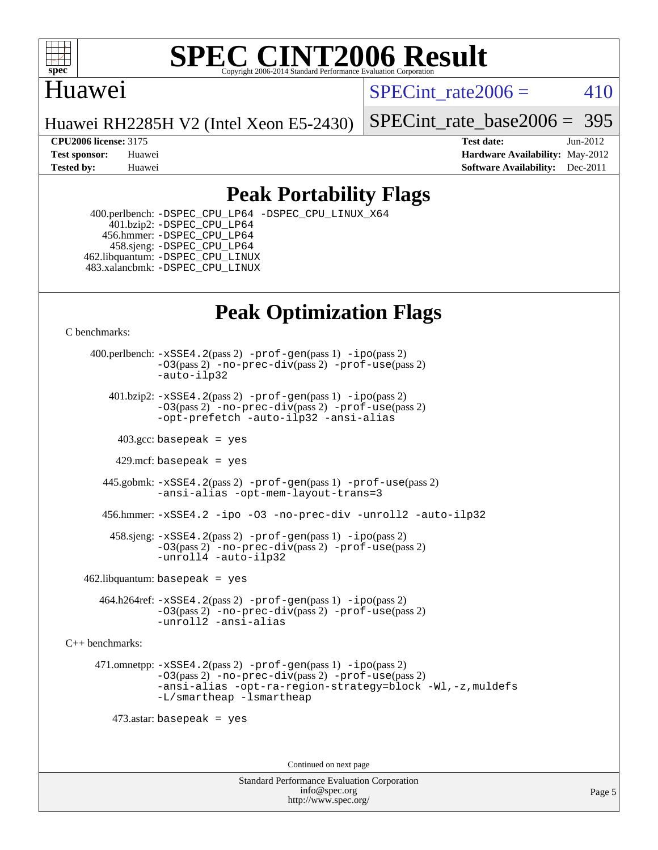

### Huawei

SPECint rate $2006 = 410$ 

Huawei RH2285H V2 (Intel Xeon E5-2430)

SPECint rate base  $2006 = 395$ 

**[CPU2006 license:](http://www.spec.org/auto/cpu2006/Docs/result-fields.html#CPU2006license)** 3175 **[Test date:](http://www.spec.org/auto/cpu2006/Docs/result-fields.html#Testdate)** Jun-2012 **[Test sponsor:](http://www.spec.org/auto/cpu2006/Docs/result-fields.html#Testsponsor)** Huawei **[Hardware Availability:](http://www.spec.org/auto/cpu2006/Docs/result-fields.html#HardwareAvailability)** May-2012 **[Tested by:](http://www.spec.org/auto/cpu2006/Docs/result-fields.html#Testedby)** Huawei **[Software Availability:](http://www.spec.org/auto/cpu2006/Docs/result-fields.html#SoftwareAvailability)** Dec-2011

## **[Peak Portability Flags](http://www.spec.org/auto/cpu2006/Docs/result-fields.html#PeakPortabilityFlags)**

 400.perlbench: [-DSPEC\\_CPU\\_LP64](http://www.spec.org/cpu2006/results/res2014q3/cpu2006-20140626-30025.flags.html#b400.perlbench_peakCPORTABILITY_DSPEC_CPU_LP64) [-DSPEC\\_CPU\\_LINUX\\_X64](http://www.spec.org/cpu2006/results/res2014q3/cpu2006-20140626-30025.flags.html#b400.perlbench_peakCPORTABILITY_DSPEC_CPU_LINUX_X64) 401.bzip2: [-DSPEC\\_CPU\\_LP64](http://www.spec.org/cpu2006/results/res2014q3/cpu2006-20140626-30025.flags.html#suite_peakCPORTABILITY401_bzip2_DSPEC_CPU_LP64) 456.hmmer: [-DSPEC\\_CPU\\_LP64](http://www.spec.org/cpu2006/results/res2014q3/cpu2006-20140626-30025.flags.html#suite_peakCPORTABILITY456_hmmer_DSPEC_CPU_LP64) 458.sjeng: [-DSPEC\\_CPU\\_LP64](http://www.spec.org/cpu2006/results/res2014q3/cpu2006-20140626-30025.flags.html#suite_peakCPORTABILITY458_sjeng_DSPEC_CPU_LP64) 462.libquantum: [-DSPEC\\_CPU\\_LINUX](http://www.spec.org/cpu2006/results/res2014q3/cpu2006-20140626-30025.flags.html#b462.libquantum_peakCPORTABILITY_DSPEC_CPU_LINUX) 483.xalancbmk: [-DSPEC\\_CPU\\_LINUX](http://www.spec.org/cpu2006/results/res2014q3/cpu2006-20140626-30025.flags.html#b483.xalancbmk_peakCXXPORTABILITY_DSPEC_CPU_LINUX)

## **[Peak Optimization Flags](http://www.spec.org/auto/cpu2006/Docs/result-fields.html#PeakOptimizationFlags)**

[C benchmarks](http://www.spec.org/auto/cpu2006/Docs/result-fields.html#Cbenchmarks):

 400.perlbench: [-xSSE4.2](http://www.spec.org/cpu2006/results/res2014q3/cpu2006-20140626-30025.flags.html#user_peakPASS2_CFLAGSPASS2_LDCFLAGS400_perlbench_f-xSSE42_f91528193cf0b216347adb8b939d4107)(pass 2) [-prof-gen](http://www.spec.org/cpu2006/results/res2014q3/cpu2006-20140626-30025.flags.html#user_peakPASS1_CFLAGSPASS1_LDCFLAGS400_perlbench_prof_gen_e43856698f6ca7b7e442dfd80e94a8fc)(pass 1) [-ipo](http://www.spec.org/cpu2006/results/res2014q3/cpu2006-20140626-30025.flags.html#user_peakPASS2_CFLAGSPASS2_LDCFLAGS400_perlbench_f-ipo)(pass 2) [-O3](http://www.spec.org/cpu2006/results/res2014q3/cpu2006-20140626-30025.flags.html#user_peakPASS2_CFLAGSPASS2_LDCFLAGS400_perlbench_f-O3)(pass 2) [-no-prec-div](http://www.spec.org/cpu2006/results/res2014q3/cpu2006-20140626-30025.flags.html#user_peakPASS2_CFLAGSPASS2_LDCFLAGS400_perlbench_f-no-prec-div)(pass 2) [-prof-use](http://www.spec.org/cpu2006/results/res2014q3/cpu2006-20140626-30025.flags.html#user_peakPASS2_CFLAGSPASS2_LDCFLAGS400_perlbench_prof_use_bccf7792157ff70d64e32fe3e1250b55)(pass 2) [-auto-ilp32](http://www.spec.org/cpu2006/results/res2014q3/cpu2006-20140626-30025.flags.html#user_peakCOPTIMIZE400_perlbench_f-auto-ilp32)  $401.bzip2: -xSSE4.2(pass 2) -prof-qen(pass 1) -ipo(pass 2)$  $401.bzip2: -xSSE4.2(pass 2) -prof-qen(pass 1) -ipo(pass 2)$  $401.bzip2: -xSSE4.2(pass 2) -prof-qen(pass 1) -ipo(pass 2)$  $401.bzip2: -xSSE4.2(pass 2) -prof-qen(pass 1) -ipo(pass 2)$  $401.bzip2: -xSSE4.2(pass 2) -prof-qen(pass 1) -ipo(pass 2)$ [-O3](http://www.spec.org/cpu2006/results/res2014q3/cpu2006-20140626-30025.flags.html#user_peakPASS2_CFLAGSPASS2_LDCFLAGS401_bzip2_f-O3)(pass 2) [-no-prec-div](http://www.spec.org/cpu2006/results/res2014q3/cpu2006-20140626-30025.flags.html#user_peakPASS2_CFLAGSPASS2_LDCFLAGS401_bzip2_f-no-prec-div)(pass 2) [-prof-use](http://www.spec.org/cpu2006/results/res2014q3/cpu2006-20140626-30025.flags.html#user_peakPASS2_CFLAGSPASS2_LDCFLAGS401_bzip2_prof_use_bccf7792157ff70d64e32fe3e1250b55)(pass 2) [-opt-prefetch](http://www.spec.org/cpu2006/results/res2014q3/cpu2006-20140626-30025.flags.html#user_peakCOPTIMIZE401_bzip2_f-opt-prefetch) [-auto-ilp32](http://www.spec.org/cpu2006/results/res2014q3/cpu2006-20140626-30025.flags.html#user_peakCOPTIMIZE401_bzip2_f-auto-ilp32) [-ansi-alias](http://www.spec.org/cpu2006/results/res2014q3/cpu2006-20140626-30025.flags.html#user_peakCOPTIMIZE401_bzip2_f-ansi-alias)  $403.\text{sec: basepeak}$  = yes 429.mcf: basepeak = yes 445.gobmk: [-xSSE4.2](http://www.spec.org/cpu2006/results/res2014q3/cpu2006-20140626-30025.flags.html#user_peakPASS2_CFLAGSPASS2_LDCFLAGS445_gobmk_f-xSSE42_f91528193cf0b216347adb8b939d4107)(pass 2) [-prof-gen](http://www.spec.org/cpu2006/results/res2014q3/cpu2006-20140626-30025.flags.html#user_peakPASS1_CFLAGSPASS1_LDCFLAGS445_gobmk_prof_gen_e43856698f6ca7b7e442dfd80e94a8fc)(pass 1) [-prof-use](http://www.spec.org/cpu2006/results/res2014q3/cpu2006-20140626-30025.flags.html#user_peakPASS2_CFLAGSPASS2_LDCFLAGS445_gobmk_prof_use_bccf7792157ff70d64e32fe3e1250b55)(pass 2) [-ansi-alias](http://www.spec.org/cpu2006/results/res2014q3/cpu2006-20140626-30025.flags.html#user_peakCOPTIMIZE445_gobmk_f-ansi-alias) [-opt-mem-layout-trans=3](http://www.spec.org/cpu2006/results/res2014q3/cpu2006-20140626-30025.flags.html#user_peakCOPTIMIZE445_gobmk_f-opt-mem-layout-trans_a7b82ad4bd7abf52556d4961a2ae94d5) 456.hmmer: [-xSSE4.2](http://www.spec.org/cpu2006/results/res2014q3/cpu2006-20140626-30025.flags.html#user_peakCOPTIMIZE456_hmmer_f-xSSE42_f91528193cf0b216347adb8b939d4107) [-ipo](http://www.spec.org/cpu2006/results/res2014q3/cpu2006-20140626-30025.flags.html#user_peakCOPTIMIZE456_hmmer_f-ipo) [-O3](http://www.spec.org/cpu2006/results/res2014q3/cpu2006-20140626-30025.flags.html#user_peakCOPTIMIZE456_hmmer_f-O3) [-no-prec-div](http://www.spec.org/cpu2006/results/res2014q3/cpu2006-20140626-30025.flags.html#user_peakCOPTIMIZE456_hmmer_f-no-prec-div) [-unroll2](http://www.spec.org/cpu2006/results/res2014q3/cpu2006-20140626-30025.flags.html#user_peakCOPTIMIZE456_hmmer_f-unroll_784dae83bebfb236979b41d2422d7ec2) [-auto-ilp32](http://www.spec.org/cpu2006/results/res2014q3/cpu2006-20140626-30025.flags.html#user_peakCOPTIMIZE456_hmmer_f-auto-ilp32) 458.sjeng: [-xSSE4.2](http://www.spec.org/cpu2006/results/res2014q3/cpu2006-20140626-30025.flags.html#user_peakPASS2_CFLAGSPASS2_LDCFLAGS458_sjeng_f-xSSE42_f91528193cf0b216347adb8b939d4107)(pass 2) [-prof-gen](http://www.spec.org/cpu2006/results/res2014q3/cpu2006-20140626-30025.flags.html#user_peakPASS1_CFLAGSPASS1_LDCFLAGS458_sjeng_prof_gen_e43856698f6ca7b7e442dfd80e94a8fc)(pass 1) [-ipo](http://www.spec.org/cpu2006/results/res2014q3/cpu2006-20140626-30025.flags.html#user_peakPASS2_CFLAGSPASS2_LDCFLAGS458_sjeng_f-ipo)(pass 2) [-O3](http://www.spec.org/cpu2006/results/res2014q3/cpu2006-20140626-30025.flags.html#user_peakPASS2_CFLAGSPASS2_LDCFLAGS458_sjeng_f-O3)(pass 2) [-no-prec-div](http://www.spec.org/cpu2006/results/res2014q3/cpu2006-20140626-30025.flags.html#user_peakPASS2_CFLAGSPASS2_LDCFLAGS458_sjeng_f-no-prec-div)(pass 2) [-prof-use](http://www.spec.org/cpu2006/results/res2014q3/cpu2006-20140626-30025.flags.html#user_peakPASS2_CFLAGSPASS2_LDCFLAGS458_sjeng_prof_use_bccf7792157ff70d64e32fe3e1250b55)(pass 2) [-unroll4](http://www.spec.org/cpu2006/results/res2014q3/cpu2006-20140626-30025.flags.html#user_peakCOPTIMIZE458_sjeng_f-unroll_4e5e4ed65b7fd20bdcd365bec371b81f) [-auto-ilp32](http://www.spec.org/cpu2006/results/res2014q3/cpu2006-20140626-30025.flags.html#user_peakCOPTIMIZE458_sjeng_f-auto-ilp32)  $462$ .libquantum: basepeak = yes

 464.h264ref: [-xSSE4.2](http://www.spec.org/cpu2006/results/res2014q3/cpu2006-20140626-30025.flags.html#user_peakPASS2_CFLAGSPASS2_LDCFLAGS464_h264ref_f-xSSE42_f91528193cf0b216347adb8b939d4107)(pass 2) [-prof-gen](http://www.spec.org/cpu2006/results/res2014q3/cpu2006-20140626-30025.flags.html#user_peakPASS1_CFLAGSPASS1_LDCFLAGS464_h264ref_prof_gen_e43856698f6ca7b7e442dfd80e94a8fc)(pass 1) [-ipo](http://www.spec.org/cpu2006/results/res2014q3/cpu2006-20140626-30025.flags.html#user_peakPASS2_CFLAGSPASS2_LDCFLAGS464_h264ref_f-ipo)(pass 2) [-O3](http://www.spec.org/cpu2006/results/res2014q3/cpu2006-20140626-30025.flags.html#user_peakPASS2_CFLAGSPASS2_LDCFLAGS464_h264ref_f-O3)(pass 2) [-no-prec-div](http://www.spec.org/cpu2006/results/res2014q3/cpu2006-20140626-30025.flags.html#user_peakPASS2_CFLAGSPASS2_LDCFLAGS464_h264ref_f-no-prec-div)(pass 2) [-prof-use](http://www.spec.org/cpu2006/results/res2014q3/cpu2006-20140626-30025.flags.html#user_peakPASS2_CFLAGSPASS2_LDCFLAGS464_h264ref_prof_use_bccf7792157ff70d64e32fe3e1250b55)(pass 2) [-unroll2](http://www.spec.org/cpu2006/results/res2014q3/cpu2006-20140626-30025.flags.html#user_peakCOPTIMIZE464_h264ref_f-unroll_784dae83bebfb236979b41d2422d7ec2) [-ansi-alias](http://www.spec.org/cpu2006/results/res2014q3/cpu2006-20140626-30025.flags.html#user_peakCOPTIMIZE464_h264ref_f-ansi-alias)

[C++ benchmarks:](http://www.spec.org/auto/cpu2006/Docs/result-fields.html#CXXbenchmarks)

 471.omnetpp: [-xSSE4.2](http://www.spec.org/cpu2006/results/res2014q3/cpu2006-20140626-30025.flags.html#user_peakPASS2_CXXFLAGSPASS2_LDCXXFLAGS471_omnetpp_f-xSSE42_f91528193cf0b216347adb8b939d4107)(pass 2) [-prof-gen](http://www.spec.org/cpu2006/results/res2014q3/cpu2006-20140626-30025.flags.html#user_peakPASS1_CXXFLAGSPASS1_LDCXXFLAGS471_omnetpp_prof_gen_e43856698f6ca7b7e442dfd80e94a8fc)(pass 1) [-ipo](http://www.spec.org/cpu2006/results/res2014q3/cpu2006-20140626-30025.flags.html#user_peakPASS2_CXXFLAGSPASS2_LDCXXFLAGS471_omnetpp_f-ipo)(pass 2) [-O3](http://www.spec.org/cpu2006/results/res2014q3/cpu2006-20140626-30025.flags.html#user_peakPASS2_CXXFLAGSPASS2_LDCXXFLAGS471_omnetpp_f-O3)(pass 2) [-no-prec-div](http://www.spec.org/cpu2006/results/res2014q3/cpu2006-20140626-30025.flags.html#user_peakPASS2_CXXFLAGSPASS2_LDCXXFLAGS471_omnetpp_f-no-prec-div)(pass 2) [-prof-use](http://www.spec.org/cpu2006/results/res2014q3/cpu2006-20140626-30025.flags.html#user_peakPASS2_CXXFLAGSPASS2_LDCXXFLAGS471_omnetpp_prof_use_bccf7792157ff70d64e32fe3e1250b55)(pass 2) [-ansi-alias](http://www.spec.org/cpu2006/results/res2014q3/cpu2006-20140626-30025.flags.html#user_peakCXXOPTIMIZE471_omnetpp_f-ansi-alias) [-opt-ra-region-strategy=block](http://www.spec.org/cpu2006/results/res2014q3/cpu2006-20140626-30025.flags.html#user_peakCXXOPTIMIZE471_omnetpp_f-opt-ra-region-strategy_a0a37c372d03933b2a18d4af463c1f69) [-Wl,-z,muldefs](http://www.spec.org/cpu2006/results/res2014q3/cpu2006-20140626-30025.flags.html#user_peakEXTRA_LDFLAGS471_omnetpp_link_force_multiple1_74079c344b956b9658436fd1b6dd3a8a) [-L/smartheap -lsmartheap](http://www.spec.org/cpu2006/results/res2014q3/cpu2006-20140626-30025.flags.html#user_peakEXTRA_LIBS471_omnetpp_SmartHeap_7c9e394a5779e1a7fec7c221e123830c)

473.astar: basepeak = yes

Continued on next page